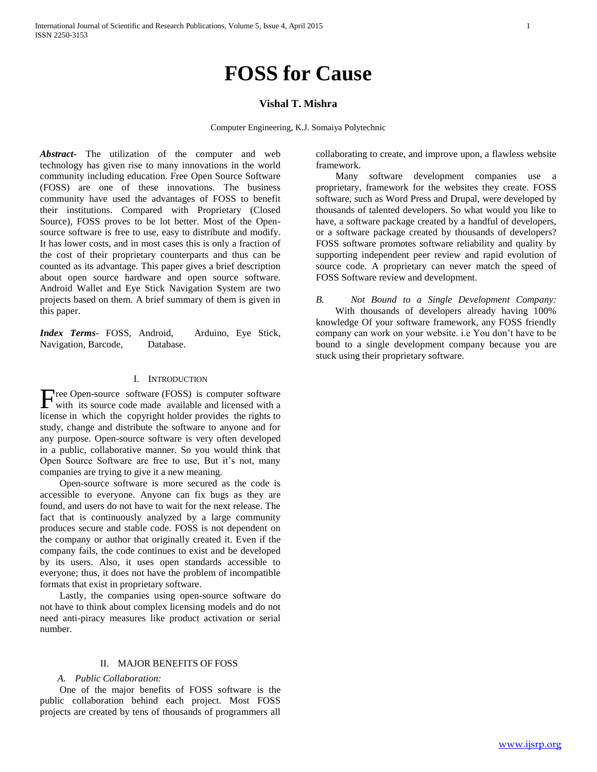# **FOSS for Cause**

# **Vishal T. Mishra**

Computer Engineering, K.J. Somaiya Polytechnic

*Abstract***-** The utilization of the computer and web technology has given rise to many innovations in the world community including education. Free Open Source Software (FOSS) are one of these innovations. The business community have used the advantages of FOSS to benefit their institutions. Compared with Proprietary (Closed Source), FOSS proves to be lot better. Most of the Opensource software is free to use, easy to distribute and modify. It has lower costs, and in most cases this is only a fraction of the cost of their proprietary counterparts and thus can be counted as its advantage. This paper gives a brief description about open source hardware and open source software. Android Wallet and Eye Stick Navigation System are two projects based on them. A brief summary of them is given in this paper.

*Index Terms*- FOSS, Android, Arduino, Eye Stick, Navigation, Barcode, Database.

#### I. INTRODUCTION

ree Open-source software (FOSS) is computer software Free Open-source software (FOSS) is computer software<br>with its source code made available and licensed with a license in which the copyright holder provides the rights to study, change and distribute the software to anyone and for any purpose. Open-source software is very often developed in a public, collaborative manner. So you would think that Open Source Software are free to use, But it's not, many companies are trying to give it a new meaning.

 Open-source software is more secured as the code is accessible to everyone. Anyone can fix bugs as they are found, and users do not have to wait for the next release. The fact that is continuously analyzed by a large community produces secure and stable code. FOSS is not dependent on the company or author that originally created it. Even if the company fails, the code continues to exist and be developed by its users. Also, it uses open standards accessible to everyone; thus, it does not have the problem of incompatible formats that exist in proprietary software.

 Lastly, the companies using open-source software do not have to think about complex licensing models and do not need anti-piracy measures like product activation or serial number.

#### II. MAJOR BENEFITS OF FOSS

#### *A. Public Collaboration:*

 One of the major benefits of FOSS software is the public collaboration behind each project. Most FOSS projects are created by tens of thousands of programmers all

collaborating to create, and improve upon, a flawless website framework.

Many software development companies use proprietary, framework for the websites they create. FOSS software, such as Word Press and Drupal, were developed by thousands of talented developers. So what would you like to have, a software package created by a handful of developers, or a software package created by thousands of developers? FOSS software promotes software reliability and quality by supporting independent peer review and rapid evolution of source code. A proprietary can never match the speed of FOSS Software review and development.

*B. Not Bound to a Single Development Company:* With thousands of developers already having 100% knowledge Of your software framework, any FOSS friendly company can work on your website. i.e You don't have to be bound to a single development company because you are stuck using their proprietary software.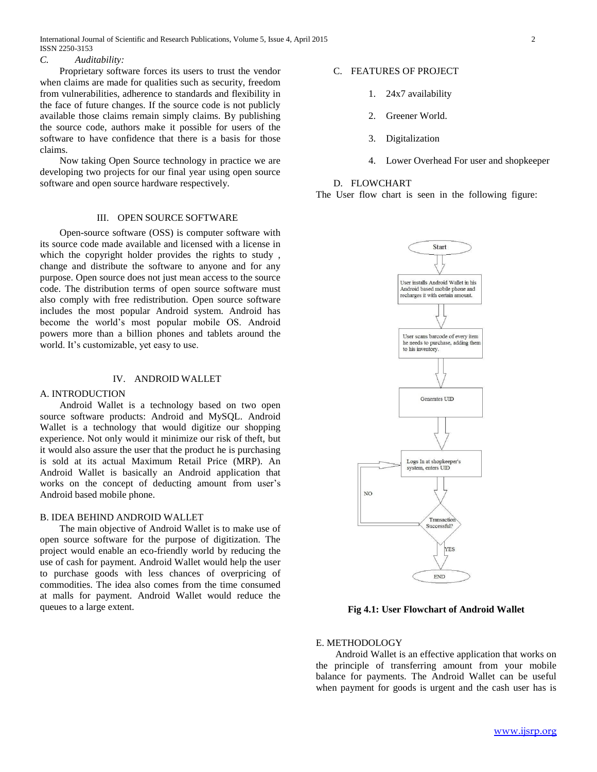International Journal of Scientific and Research Publications, Volume 5, Issue 4, April 2015 2 ISSN 2250-3153

## *C. Auditability:*

 Proprietary software forces its users to trust the vendor when claims are made for qualities such as security, freedom from vulnerabilities, adherence to standards and flexibility in the face of future changes. If the source code is not publicly available those claims remain simply claims. By publishing the source code, authors make it possible for users of the software to have confidence that there is a basis for those claims.

 Now taking Open Source technology in practice we are developing two projects for our final year using open source software and open source hardware respectively.

## III. OPEN SOURCE SOFTWARE

 Open-source software (OSS) is computer software with its source code made available and licensed with a license in which the copyright holder provides the rights to study , change and distribute the software to anyone and for any purpose. Open source does not just mean access to the source code. The distribution terms of open source software must also comply with free redistribution. Open source software includes the most popular Android system. Android has become the world's most popular mobile OS. Android powers more than a billion phones and tablets around the world. It's customizable, yet easy to use.

## IV. ANDROID WALLET

## A. INTRODUCTION

# Android Wallet is a technology based on two open source software products: Android and MySQL. Android Wallet is a technology that would digitize our shopping experience. Not only would it minimize our risk of theft, but it would also assure the user that the product he is purchasing is sold at its actual Maximum Retail Price (MRP). An Android Wallet is basically an Android application that works on the concept of deducting amount from user's Android based mobile phone.

#### B. IDEA BEHIND ANDROID WALLET

 The main objective of Android Wallet is to make use of open source software for the purpose of digitization. The project would enable an eco-friendly world by reducing the use of cash for payment. Android Wallet would help the user to purchase goods with less chances of overpricing of commodities. The idea also comes from the time consumed at malls for payment. Android Wallet would reduce the queues to a large extent.

## C. FEATURES OF PROJECT

- 1. 24x7 availability
- 2. Greener World.
- 3. Digitalization
- 4. Lower Overhead For user and shopkeeper

# D. FLOWCHART

The User flow chart is seen in the following figure:



**Fig 4.1: User Flowchart of Android Wallet**

## E. METHODOLOGY

 Android Wallet is an effective application that works on the principle of transferring amount from your mobile balance for payments. The Android Wallet can be useful when payment for goods is urgent and the cash user has is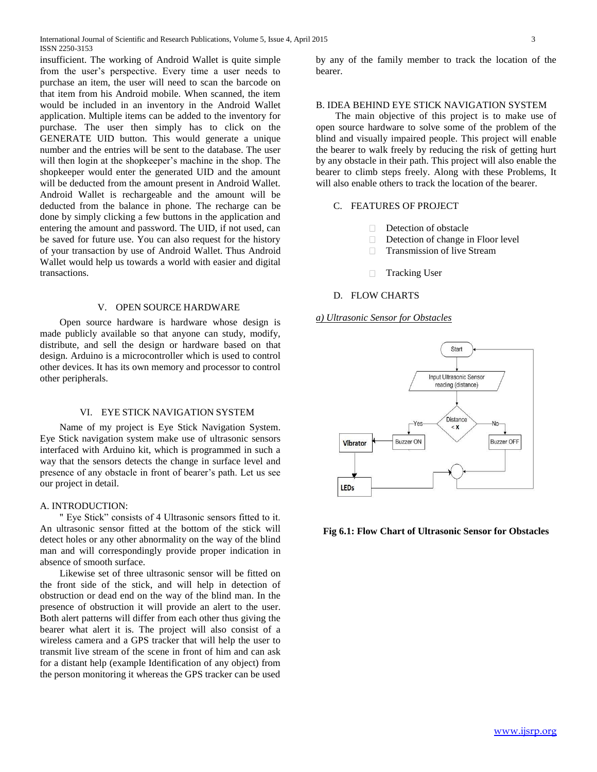insufficient. The working of Android Wallet is quite simple from the user's perspective. Every time a user needs to purchase an item, the user will need to scan the barcode on that item from his Android mobile. When scanned, the item would be included in an inventory in the Android Wallet application. Multiple items can be added to the inventory for purchase. The user then simply has to click on the GENERATE UID button. This would generate a unique number and the entries will be sent to the database. The user will then login at the shopkeeper's machine in the shop. The shopkeeper would enter the generated UID and the amount will be deducted from the amount present in Android Wallet. Android Wallet is rechargeable and the amount will be deducted from the balance in phone. The recharge can be done by simply clicking a few buttons in the application and entering the amount and password. The UID, if not used, can be saved for future use. You can also request for the history of your transaction by use of Android Wallet. Thus Android Wallet would help us towards a world with easier and digital transactions.

## V. OPEN SOURCE HARDWARE

 Open source hardware is hardware whose design is made publicly available so that anyone can study, modify, distribute, and sell the design or hardware based on that design. Arduino is a microcontroller which is used to control other devices. It has its own memory and processor to control other peripherals.

## VI. EYE STICK NAVIGATION SYSTEM

 Name of my project is Eye Stick Navigation System. Eye Stick navigation system make use of ultrasonic sensors interfaced with Arduino kit, which is programmed in such a way that the sensors detects the change in surface level and presence of any obstacle in front of bearer's path. Let us see our project in detail.

#### A. INTRODUCTION:

 " Eye Stick" consists of 4 Ultrasonic sensors fitted to it. An ultrasonic sensor fitted at the bottom of the stick will detect holes or any other abnormality on the way of the blind man and will correspondingly provide proper indication in absence of smooth surface.

 Likewise set of three ultrasonic sensor will be fitted on the front side of the stick, and will help in detection of obstruction or dead end on the way of the blind man. In the presence of obstruction it will provide an alert to the user. Both alert patterns will differ from each other thus giving the bearer what alert it is. The project will also consist of a wireless camera and a GPS tracker that will help the user to transmit live stream of the scene in front of him and can ask for a distant help (example Identification of any object) from the person monitoring it whereas the GPS tracker can be used

by any of the family member to track the location of the bearer.

### B. IDEA BEHIND EYE STICK NAVIGATION SYSTEM

 The main objective of this project is to make use of open source hardware to solve some of the problem of the blind and visually impaired people. This project will enable the bearer to walk freely by reducing the risk of getting hurt by any obstacle in their path. This project will also enable the bearer to climb steps freely. Along with these Problems, It will also enable others to track the location of the bearer.

#### C. FEATURES OF PROJECT

- $\Box$ Detection of obstacle
- $\Box$ Detection of change in Floor level
- $\Box$ Transmission of live Stream
- Tracking User  $\Box$

## D. FLOW CHARTS

*a) Ultrasonic Sensor for Obstacles*



**Fig 6.1: Flow Chart of Ultrasonic Sensor for Obstacles**